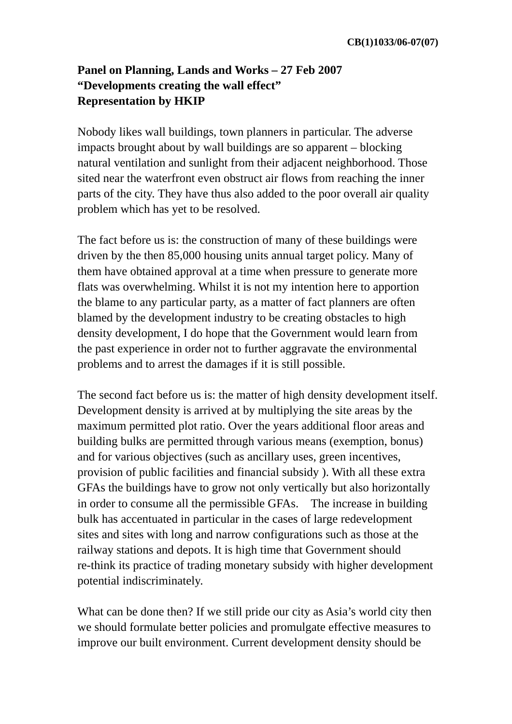## **Panel on Planning, Lands and Works – 27 Feb 2007 "Developments creating the wall effect" Representation by HKIP**

Nobody likes wall buildings, town planners in particular. The adverse impacts brought about by wall buildings are so apparent – blocking natural ventilation and sunlight from their adjacent neighborhood. Those sited near the waterfront even obstruct air flows from reaching the inner parts of the city. They have thus also added to the poor overall air quality problem which has yet to be resolved.

The fact before us is: the construction of many of these buildings were driven by the then 85,000 housing units annual target policy. Many of them have obtained approval at a time when pressure to generate more flats was overwhelming. Whilst it is not my intention here to apportion the blame to any particular party, as a matter of fact planners are often blamed by the development industry to be creating obstacles to high density development, I do hope that the Government would learn from the past experience in order not to further aggravate the environmental problems and to arrest the damages if it is still possible.

The second fact before us is: the matter of high density development itself. Development density is arrived at by multiplying the site areas by the maximum permitted plot ratio. Over the years additional floor areas and building bulks are permitted through various means (exemption, bonus) and for various objectives (such as ancillary uses, green incentives, provision of public facilities and financial subsidy ). With all these extra GFAs the buildings have to grow not only vertically but also horizontally in order to consume all the permissible GFAs. The increase in building bulk has accentuated in particular in the cases of large redevelopment sites and sites with long and narrow configurations such as those at the railway stations and depots. It is high time that Government should re-think its practice of trading monetary subsidy with higher development potential indiscriminately.

What can be done then? If we still pride our city as Asia's world city then we should formulate better policies and promulgate effective measures to improve our built environment. Current development density should be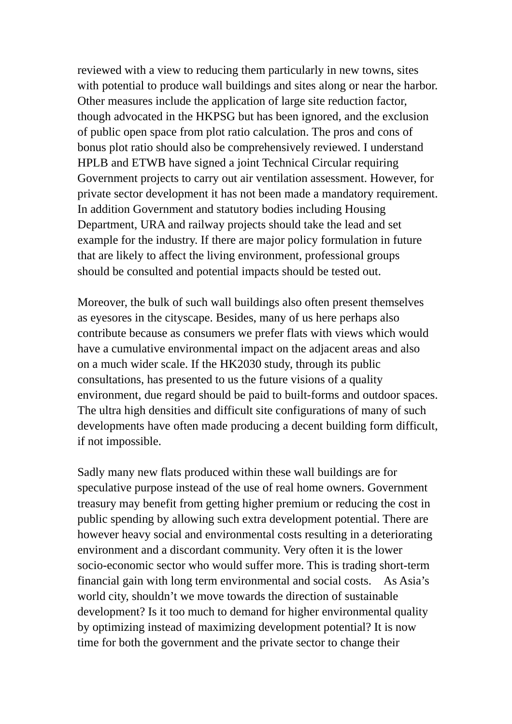reviewed with a view to reducing them particularly in new towns, sites with potential to produce wall buildings and sites along or near the harbor. Other measures include the application of large site reduction factor, though advocated in the HKPSG but has been ignored, and the exclusion of public open space from plot ratio calculation. The pros and cons of bonus plot ratio should also be comprehensively reviewed. I understand HPLB and ETWB have signed a joint Technical Circular requiring Government projects to carry out air ventilation assessment. However, for private sector development it has not been made a mandatory requirement. In addition Government and statutory bodies including Housing Department, URA and railway projects should take the lead and set example for the industry. If there are major policy formulation in future that are likely to affect the living environment, professional groups should be consulted and potential impacts should be tested out.

Moreover, the bulk of such wall buildings also often present themselves as eyesores in the cityscape. Besides, many of us here perhaps also contribute because as consumers we prefer flats with views which would have a cumulative environmental impact on the adjacent areas and also on a much wider scale. If the HK2030 study, through its public consultations, has presented to us the future visions of a quality environment, due regard should be paid to built-forms and outdoor spaces. The ultra high densities and difficult site configurations of many of such developments have often made producing a decent building form difficult, if not impossible.

Sadly many new flats produced within these wall buildings are for speculative purpose instead of the use of real home owners. Government treasury may benefit from getting higher premium or reducing the cost in public spending by allowing such extra development potential. There are however heavy social and environmental costs resulting in a deteriorating environment and a discordant community. Very often it is the lower socio-economic sector who would suffer more. This is trading short-term financial gain with long term environmental and social costs. As Asia's world city, shouldn't we move towards the direction of sustainable development? Is it too much to demand for higher environmental quality by optimizing instead of maximizing development potential? It is now time for both the government and the private sector to change their